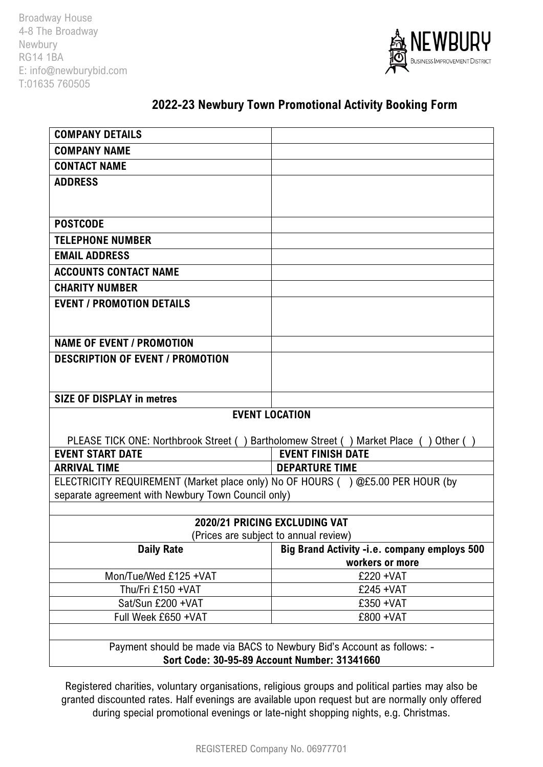Broadway House 4-8 The Broadway Newbury RG14 1BA E: info@newburybid.com T:01635 760505



# **2022-23 Newbury Town Promotional Activity Booking Form**

| <b>COMPANY DETAILS</b>                                                               |                                              |
|--------------------------------------------------------------------------------------|----------------------------------------------|
| <b>COMPANY NAME</b>                                                                  |                                              |
| <b>CONTACT NAME</b>                                                                  |                                              |
| <b>ADDRESS</b>                                                                       |                                              |
|                                                                                      |                                              |
|                                                                                      |                                              |
| <b>POSTCODE</b>                                                                      |                                              |
| <b>TELEPHONE NUMBER</b>                                                              |                                              |
| <b>EMAIL ADDRESS</b>                                                                 |                                              |
| <b>ACCOUNTS CONTACT NAME</b>                                                         |                                              |
| <b>CHARITY NUMBER</b>                                                                |                                              |
| <b>EVENT / PROMOTION DETAILS</b>                                                     |                                              |
|                                                                                      |                                              |
|                                                                                      |                                              |
| <b>NAME OF EVENT / PROMOTION</b>                                                     |                                              |
| <b>DESCRIPTION OF EVENT / PROMOTION</b>                                              |                                              |
|                                                                                      |                                              |
| <b>SIZE OF DISPLAY in metres</b>                                                     |                                              |
| <b>EVENT LOCATION</b>                                                                |                                              |
|                                                                                      |                                              |
| PLEASE TICK ONE: Northbrook Street () Bartholomew Street () Market Place () Other () |                                              |
| <b>EVENT START DATE</b>                                                              | <b>EVENT FINISH DATE</b>                     |
| <b>ARRIVAL TIME</b>                                                                  | <b>DEPARTURE TIME</b>                        |
| ELECTRICITY REQUIREMENT (Market place only) No OF HOURS () @£5.00 PER HOUR (by       |                                              |
| separate agreement with Newbury Town Council only)                                   |                                              |
| 2020/21 PRICING EXCLUDING VAT                                                        |                                              |
| (Prices are subject to annual review)                                                |                                              |
| <b>Daily Rate</b>                                                                    | Big Brand Activity -i.e. company employs 500 |
|                                                                                      | workers or more                              |
| Mon/Tue/Wed £125 +VAT                                                                | £220 + VAT                                   |
| Thu/Fri £150 +VAT                                                                    | £245 + VAT                                   |
| Sat/Sun £200 +VAT                                                                    | £350 + VAT                                   |
| Full Week £650 +VAT                                                                  | £800 + VAT                                   |
|                                                                                      |                                              |
| Payment should be made via BACS to Newbury Bid's Account as follows: -               |                                              |
| Sort Code: 30-95-89 Account Number: 31341660                                         |                                              |

Registered charities, voluntary organisations, religious groups and political parties may also be granted discounted rates. Half evenings are available upon request but are normally only offered during special promotional evenings or late-night shopping nights, e.g. Christmas.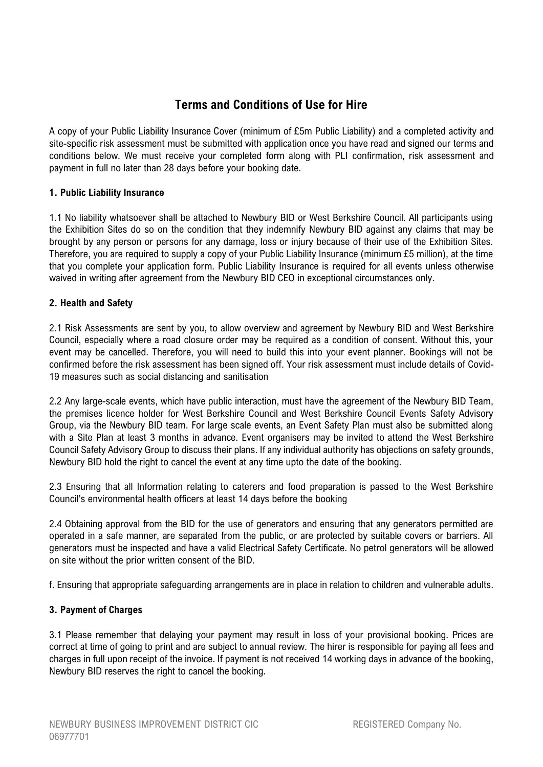# **Terms and Conditions of Use for Hire**

A copy of your Public Liability Insurance Cover (minimum of £5m Public Liability) and a completed activity and site-specific risk assessment must be submitted with application once you have read and signed our terms and conditions below. We must receive your completed form along with PLI confirmation, risk assessment and payment in full no later than 28 days before your booking date.

# **1. Public Liability Insurance**

1.1 No liability whatsoever shall be attached to Newbury BID or West Berkshire Council. All participants using the Exhibition Sites do so on the condition that they indemnify Newbury BID against any claims that may be brought by any person or persons for any damage, loss or injury because of their use of the Exhibition Sites. Therefore, you are required to supply a copy of your Public Liability Insurance (minimum £5 million), at the time that you complete your application form. Public Liability Insurance is required for all events unless otherwise waived in writing after agreement from the Newbury BID CEO in exceptional circumstances only.

# **2. Health and Safety**

2.1 Risk Assessments are sent by you, to allow overview and agreement by Newbury BID and West Berkshire Council, especially where a road closure order may be required as a condition of consent. Without this, your event may be cancelled. Therefore, you will need to build this into your event planner. Bookings will not be confirmed before the risk assessment has been signed off. Your risk assessment must include details of Covid-19 measures such as social distancing and sanitisation

2.2 Any large-scale events, which have public interaction, must have the agreement of the Newbury BID Team, the premises licence holder for West Berkshire Council and West Berkshire Council Events Safety Advisory Group, via the Newbury BID team. For large scale events, an Event Safety Plan must also be submitted along with a Site Plan at least 3 months in advance. Event organisers may be invited to attend the West Berkshire Council Safety Advisory Group to discuss their plans. If any individual authority has objections on safety grounds, Newbury BID hold the right to cancel the event at any time upto the date of the booking.

2.3 Ensuring that all Information relating to caterers and food preparation is passed to the West Berkshire Council's environmental health officers at least 14 days before the booking

2.4 Obtaining approval from the BID for the use of generators and ensuring that any generators permitted are operated in a safe manner, are separated from the public, or are protected by suitable covers or barriers. All generators must be inspected and have a valid Electrical Safety Certificate. No petrol generators will be allowed on site without the prior written consent of the BID.

f. Ensuring that appropriate safeguarding arrangements are in place in relation to children and vulnerable adults.

#### **3. Payment of Charges**

3.1 Please remember that delaying your payment may result in loss of your provisional booking. Prices are correct at time of going to print and are subject to annual review. The hirer is responsible for paying all fees and charges in full upon receipt of the invoice. If payment is not received 14 working days in advance of the booking, Newbury BID reserves the right to cancel the booking.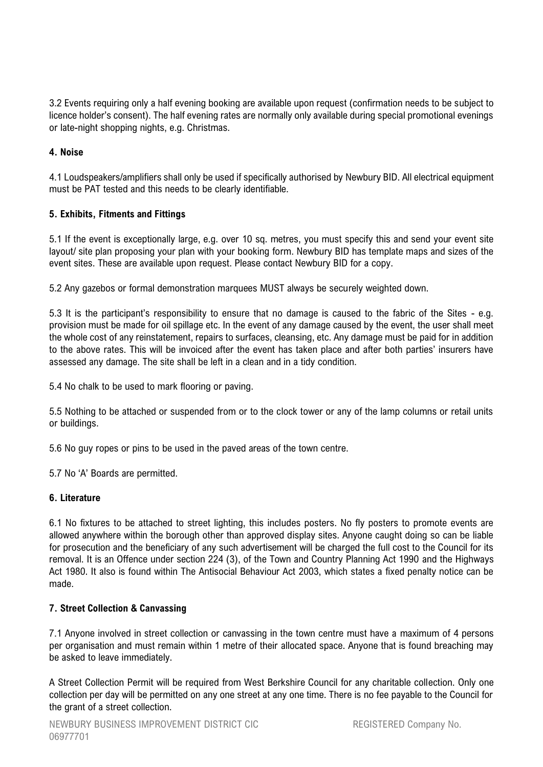3.2 Events requiring only a half evening booking are available upon request (confirmation needs to be subject to licence holder's consent). The half evening rates are normally only available during special promotional evenings or late-night shopping nights, e.g. Christmas.

# **4. Noise**

4.1 Loudspeakers/amplifiers shall only be used if specifically authorised by Newbury BID. All electrical equipment must be PAT tested and this needs to be clearly identifiable.

# **5. Exhibits, Fitments and Fittings**

5.1 If the event is exceptionally large, e.g. over 10 sq. metres, you must specify this and send your event site layout/ site plan proposing your plan with your booking form. Newbury BID has template maps and sizes of the event sites. These are available upon request. Please contact Newbury BID for a copy.

5.2 Any gazebos or formal demonstration marquees MUST always be securely weighted down.

5.3 It is the participant's responsibility to ensure that no damage is caused to the fabric of the Sites - e.g. provision must be made for oil spillage etc. In the event of any damage caused by the event, the user shall meet the whole cost of any reinstatement, repairs to surfaces, cleansing, etc. Any damage must be paid for in addition to the above rates. This will be invoiced after the event has taken place and after both parties' insurers have assessed any damage. The site shall be left in a clean and in a tidy condition.

5.4 No chalk to be used to mark flooring or paving.

5.5 Nothing to be attached or suspended from or to the clock tower or any of the lamp columns or retail units or buildings.

5.6 No guy ropes or pins to be used in the paved areas of the town centre.

5.7 No 'A' Boards are permitted.

#### **6. Literature**

6.1 No fixtures to be attached to street lighting, this includes posters. No fly posters to promote events are allowed anywhere within the borough other than approved display sites. Anyone caught doing so can be liable for prosecution and the beneficiary of any such advertisement will be charged the full cost to the Council for its removal. It is an Offence under section 224 (3), of the Town and Country Planning Act 1990 and the Highways Act 1980. It also is found within The Antisocial Behaviour Act 2003, which states a fixed penalty notice can be made.

# **7. Street Collection & Canvassing**

7.1 Anyone involved in street collection or canvassing in the town centre must have a maximum of 4 persons per organisation and must remain within 1 metre of their allocated space. Anyone that is found breaching may be asked to leave immediately.

A Street Collection Permit will be required from West Berkshire Council for any charitable collection. Only one collection per day will be permitted on any one street at any one time. There is no fee payable to the Council for the grant of a street collection.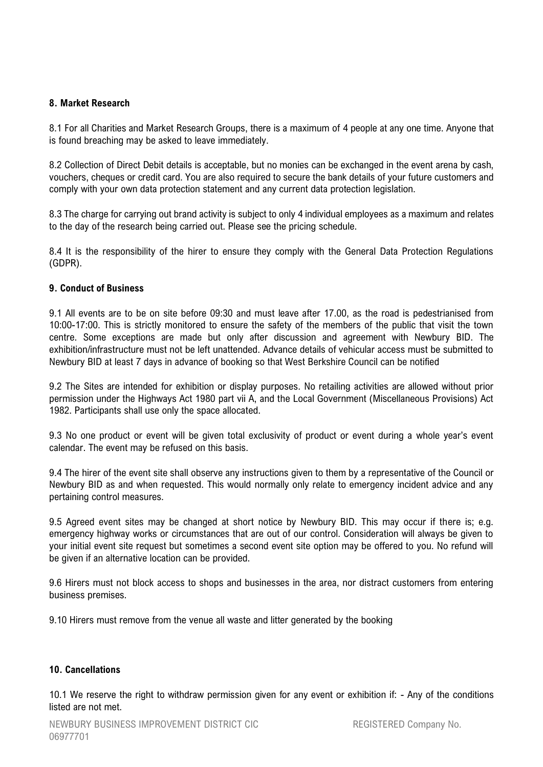#### **8. Market Research**

8.1 For all Charities and Market Research Groups, there is a maximum of 4 people at any one time. Anyone that is found breaching may be asked to leave immediately.

8.2 Collection of Direct Debit details is acceptable, but no monies can be exchanged in the event arena by cash, vouchers, cheques or credit card. You are also required to secure the bank details of your future customers and comply with your own data protection statement and any current data protection legislation.

8.3 The charge for carrying out brand activity is subject to only 4 individual employees as a maximum and relates to the day of the research being carried out. Please see the pricing schedule.

8.4 It is the responsibility of the hirer to ensure they comply with the General Data Protection Regulations (GDPR).

#### **9. Conduct of Business**

9.1 All events are to be on site before 09:30 and must leave after 17.00, as the road is pedestrianised from 10:00-17:00. This is strictly monitored to ensure the safety of the members of the public that visit the town centre. Some exceptions are made but only after discussion and agreement with Newbury BID. The exhibition/infrastructure must not be left unattended. Advance details of vehicular access must be submitted to Newbury BID at least 7 days in advance of booking so that West Berkshire Council can be notified

9.2 The Sites are intended for exhibition or display purposes. No retailing activities are allowed without prior permission under the Highways Act 1980 part vii A, and the Local Government (Miscellaneous Provisions) Act 1982. Participants shall use only the space allocated.

9.3 No one product or event will be given total exclusivity of product or event during a whole year's event calendar. The event may be refused on this basis.

9.4 The hirer of the event site shall observe any instructions given to them by a representative of the Council or Newbury BID as and when requested. This would normally only relate to emergency incident advice and any pertaining control measures.

9.5 Agreed event sites may be changed at short notice by Newbury BID. This may occur if there is; e.g. emergency highway works or circumstances that are out of our control. Consideration will always be given to your initial event site request but sometimes a second event site option may be offered to you. No refund will be given if an alternative location can be provided.

9.6 Hirers must not block access to shops and businesses in the area, nor distract customers from entering business premises.

9.10 Hirers must remove from the venue all waste and litter generated by the booking

#### **10. Cancellations**

10.1 We reserve the right to withdraw permission given for any event or exhibition if: - Any of the conditions listed are not met.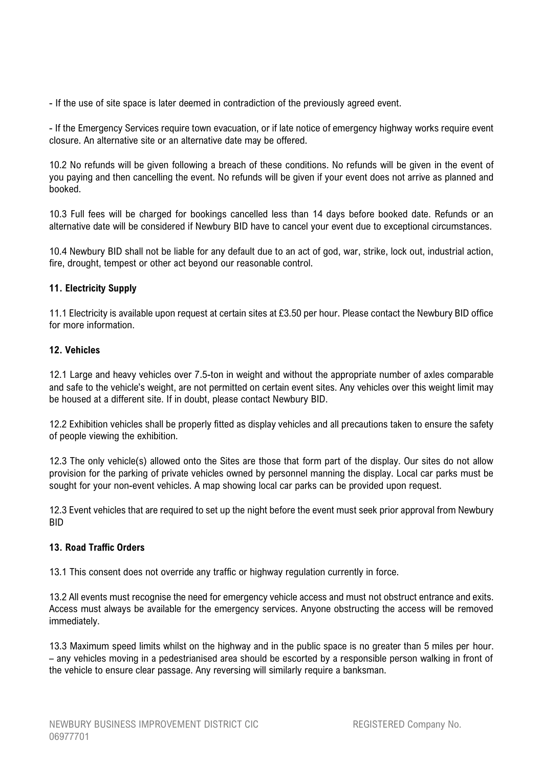- If the use of site space is later deemed in contradiction of the previously agreed event.

- If the Emergency Services require town evacuation, or if late notice of emergency highway works require event closure. An alternative site or an alternative date may be offered.

10.2 No refunds will be given following a breach of these conditions. No refunds will be given in the event of you paying and then cancelling the event. No refunds will be given if your event does not arrive as planned and booked.

10.3 Full fees will be charged for bookings cancelled less than 14 days before booked date. Refunds or an alternative date will be considered if Newbury BID have to cancel your event due to exceptional circumstances.

10.4 Newbury BID shall not be liable for any default due to an act of god, war, strike, lock out, industrial action, fire, drought, tempest or other act beyond our reasonable control.

# **11. Electricity Supply**

11.1 Electricity is available upon request at certain sites at £3.50 per hour. Please contact the Newbury BID office for more information.

#### **12. Vehicles**

12.1 Large and heavy vehicles over 7.5-ton in weight and without the appropriate number of axles comparable and safe to the vehicle's weight, are not permitted on certain event sites. Any vehicles over this weight limit may be housed at a different site. If in doubt, please contact Newbury BID.

12.2 Exhibition vehicles shall be properly fitted as display vehicles and all precautions taken to ensure the safety of people viewing the exhibition.

12.3 The only vehicle(s) allowed onto the Sites are those that form part of the display. Our sites do not allow provision for the parking of private vehicles owned by personnel manning the display. Local car parks must be sought for your non-event vehicles. A map showing local car parks can be provided upon request.

12.3 Event vehicles that are required to set up the night before the event must seek prior approval from Newbury BID

#### **13. Road Traffic Orders**

13.1 This consent does not override any traffic or highway regulation currently in force.

13.2 All events must recognise the need for emergency vehicle access and must not obstruct entrance and exits. Access must always be available for the emergency services. Anyone obstructing the access will be removed immediately.

13.3 Maximum speed limits whilst on the highway and in the public space is no greater than 5 miles per hour. – any vehicles moving in a pedestrianised area should be escorted by a responsible person walking in front of the vehicle to ensure clear passage. Any reversing will similarly require a banksman.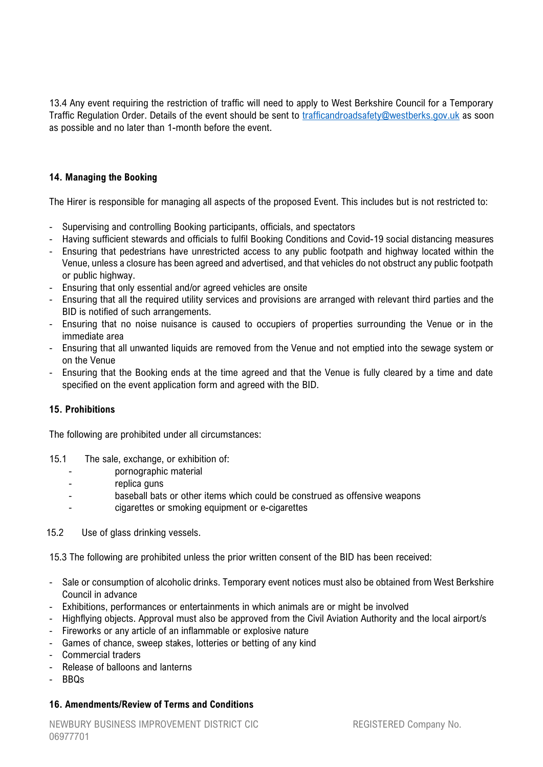13.4 Any event requiring the restriction of traffic will need to apply to West Berkshire Council for a Temporary Traffic Regulation Order. Details of the event should be sent to [trafficandroadsafety@westberks.gov.uk](mailto:trafficandroadsafety@westberks.gov.uk) as soon as possible and no later than 1-month before the event.

# **14. Managing the Booking**

The Hirer is responsible for managing all aspects of the proposed Event. This includes but is not restricted to:

- Supervising and controlling Booking participants, officials, and spectators
- Having sufficient stewards and officials to fulfil Booking Conditions and Covid-19 social distancing measures
- Ensuring that pedestrians have unrestricted access to any public footpath and highway located within the Venue, unless a closure has been agreed and advertised, and that vehicles do not obstruct any public footpath or public highway.
- Ensuring that only essential and/or agreed vehicles are onsite
- Ensuring that all the required utility services and provisions are arranged with relevant third parties and the BID is notified of such arrangements.
- Ensuring that no noise nuisance is caused to occupiers of properties surrounding the Venue or in the immediate area
- Ensuring that all unwanted liquids are removed from the Venue and not emptied into the sewage system or on the Venue
- Ensuring that the Booking ends at the time agreed and that the Venue is fully cleared by a time and date specified on the event application form and agreed with the BID.

#### **15. Prohibitions**

The following are prohibited under all circumstances:

- 15.1 The sale, exchange, or exhibition of:
	- pornographic material
	- replica guns
	- baseball bats or other items which could be construed as offensive weapons
	- cigarettes or smoking equipment or e-cigarettes
- 15.2 Use of glass drinking vessels.

15.3 The following are prohibited unless the prior written consent of the BID has been received:

- Sale or consumption of alcoholic drinks. Temporary event notices must also be obtained from West Berkshire Council in advance
- Exhibitions, performances or entertainments in which animals are or might be involved
- Highflying objects. Approval must also be approved from the Civil Aviation Authority and the local airport/s
- Fireworks or any article of an inflammable or explosive nature
- Games of chance, sweep stakes, lotteries or betting of any kind
- Commercial traders
- Release of balloons and lanterns
- BBQs

#### **16. Amendments/Review of Terms and Conditions**